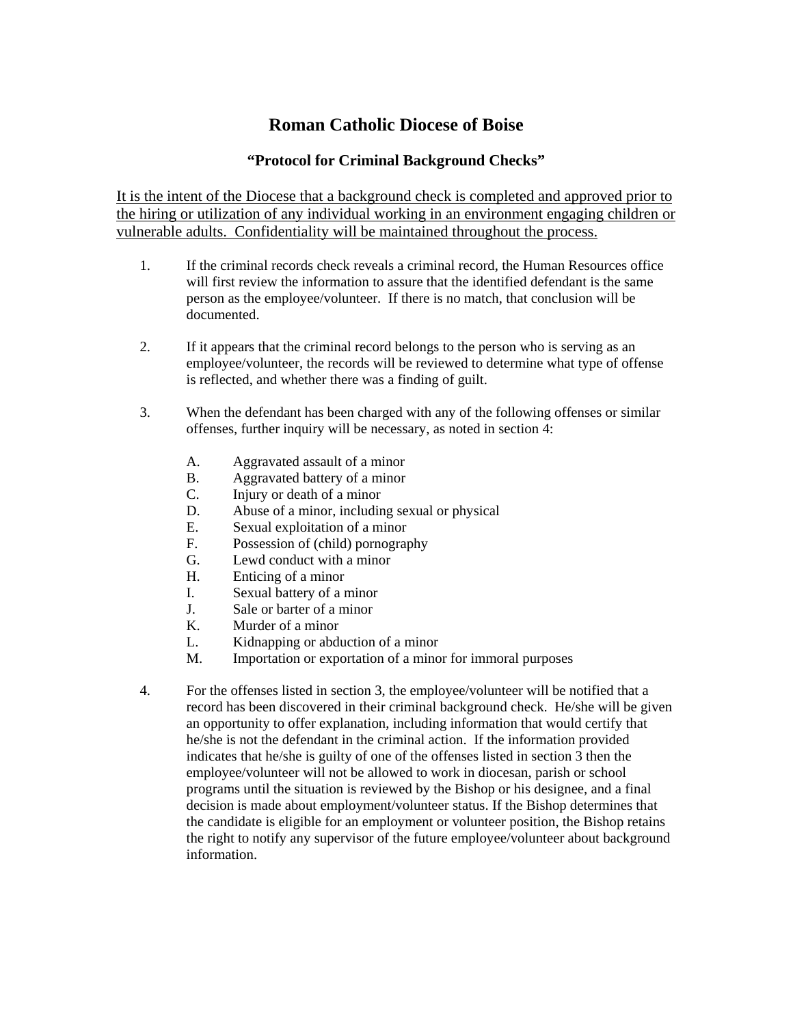## **Roman Catholic Diocese of Boise**

## **"Protocol for Criminal Background Checks"**

It is the intent of the Diocese that a background check is completed and approved prior to the hiring or utilization of any individual working in an environment engaging children or vulnerable adults. Confidentiality will be maintained throughout the process.

- 1. If the criminal records check reveals a criminal record, the Human Resources office will first review the information to assure that the identified defendant is the same person as the employee/volunteer. If there is no match, that conclusion will be documented.
- 2. If it appears that the criminal record belongs to the person who is serving as an employee/volunteer, the records will be reviewed to determine what type of offense is reflected, and whether there was a finding of guilt.
- 3. When the defendant has been charged with any of the following offenses or similar offenses, further inquiry will be necessary, as noted in section 4:
	- A. Aggravated assault of a minor
	- B. Aggravated battery of a minor
	- C. Injury or death of a minor
	- D. Abuse of a minor, including sexual or physical
	- E. Sexual exploitation of a minor
	- F. Possession of (child) pornography
	- G. Lewd conduct with a minor
	- H. Enticing of a minor
	- I. Sexual battery of a minor
	- J. Sale or barter of a minor
	- K. Murder of a minor
	- L. Kidnapping or abduction of a minor
	- M. Importation or exportation of a minor for immoral purposes
- 4. For the offenses listed in section 3, the employee/volunteer will be notified that a record has been discovered in their criminal background check. He/she will be given an opportunity to offer explanation, including information that would certify that he/she is not the defendant in the criminal action. If the information provided indicates that he/she is guilty of one of the offenses listed in section 3 then the employee/volunteer will not be allowed to work in diocesan, parish or school programs until the situation is reviewed by the Bishop or his designee, and a final decision is made about employment/volunteer status. If the Bishop determines that the candidate is eligible for an employment or volunteer position, the Bishop retains the right to notify any supervisor of the future employee/volunteer about background information.